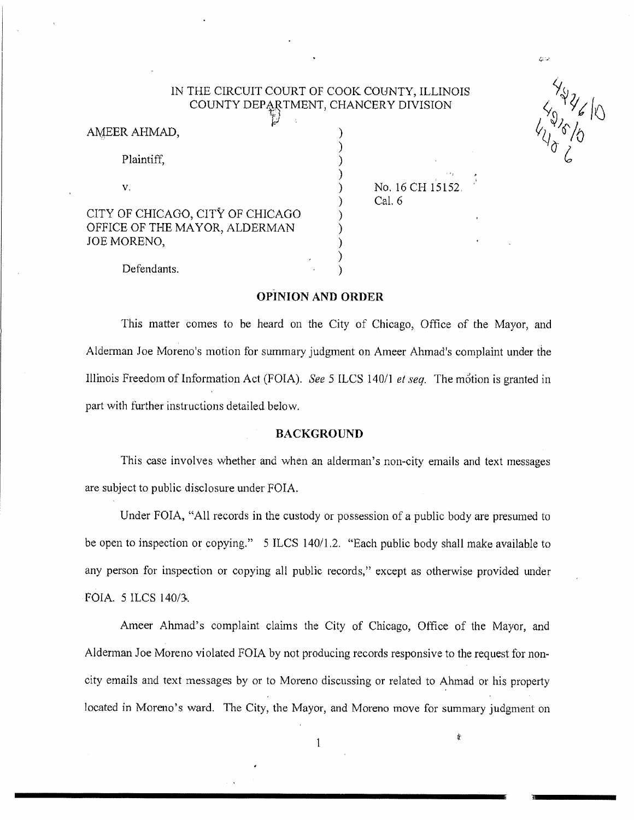# IN THE CIRCUIT COURT OF COOK COUNTY, ILLINOIS COUNTY DEPARTMENT, CHANCERY DIVISION

| AMEER AHMAD,                                                                     | r. |  |
|----------------------------------------------------------------------------------|----|--|
| Plaintiff,                                                                       |    |  |
| V.                                                                               |    |  |
| CITY OF CHICAGO, CITY OF CHICAGO<br>OFFICE OF THE MAYOR, ALDERMAN<br>JOE MORENO, |    |  |

No. 16 CH 15152 Cal. 6

دري

 $\begin{matrix} 4y^2y^2\\ 4y^36/y^6\\ 4y^6/y^6\\ 6\end{matrix}$ 

Defendants.

# **OPINION AND ORDER**

This matter comes to be heard on the City of Chicago, Office of the Mayor, and Alderman Joe Moreno's motion for summary judgment on Ameer Alunad's complaint under the Illinois Freedom of Information Act (FOIA). *See* 5 ILCS 140/1 *et seq.* The motion is granted in part with further instructions detailed below.

# **BACKGROUND**

This case involves whether and when an alderman's non-city emails and text messages are subject to public disclosure under FOIA.

Under FOIA, "All records in the custody or possession of a public body are presumed to be open to inspection or copying." 5 ILCS 140/1.2. "Each public body shall make available to any person for inspection or copying all public records," except as otherwise provided under FOIA. 5 ILCS 140/3.

Ameer Ahmad's complaint claims the City of Chicago, Office of the Mayor, and Alderman Joe Moreno violated FOIA by not producing records responsive to the request for noncity emails and text messages by or to Moreno discussing or related to Ahmad or his property located in Moreno's ward. The City, the Mayor, and Moreno move for summary judgment on

 $\mathbf{1}$ 

R`"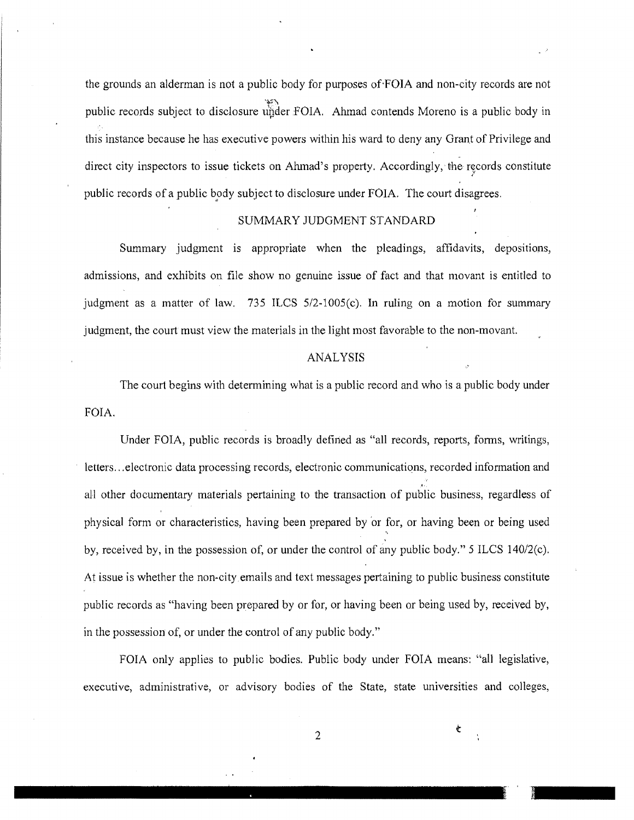the grounds an alderman is not a public body for purposes of-FOIA and non-city records are not public records subject to disclosure under FOIA. Ahmad contends Moreno is a public body in this instance because he has executive powers within his ward to deny any Grant of Privilege and direct city inspectors to issue tickets on Ahmad's property. Accordingly, the records constitute public records of a public body subject to disclosure under FOIA. The court disagrees.

### SUMMARY JUDGMENT STANDARD

Summary judgment is appropriate when the pleadings, affidavits, depositions, admissions, and exhibits on file show no genuine issue of fact and that movant is entitled to judgment as a matter of law. 735 ILCS 5/2-1005(c). In ruling on a motion for summary judgment, the court must view the materials in the light most favorable to the non-movant.

#### ANALYSIS

The court begins with determining what is a public record and who is a public body under FOIA.

Under FOIA, public records is broadly defined as "all records, reports, forms, writings, letters...electronic data processing records, electronic communications, recorded information and all other documentary materials pertaining to the transaction of public business, regardless of physical form or characteristics, having been prepared by 'or for, or having been or being used by, received by, in the possession of, or under the control of any public body." 5 ILCS 140/2(c). At issue is whether the non-city emails and text messages pertaining to public business constitute public records as "having been prepared by or for, or having been or being used by, received by, in the possession of, or under the control of any public body."

FOIA only applies to public bodies. Public body under FOIA means: "all legislative, executive, administrative, or advisory bodies of the State, state universities and colleges,

2

¢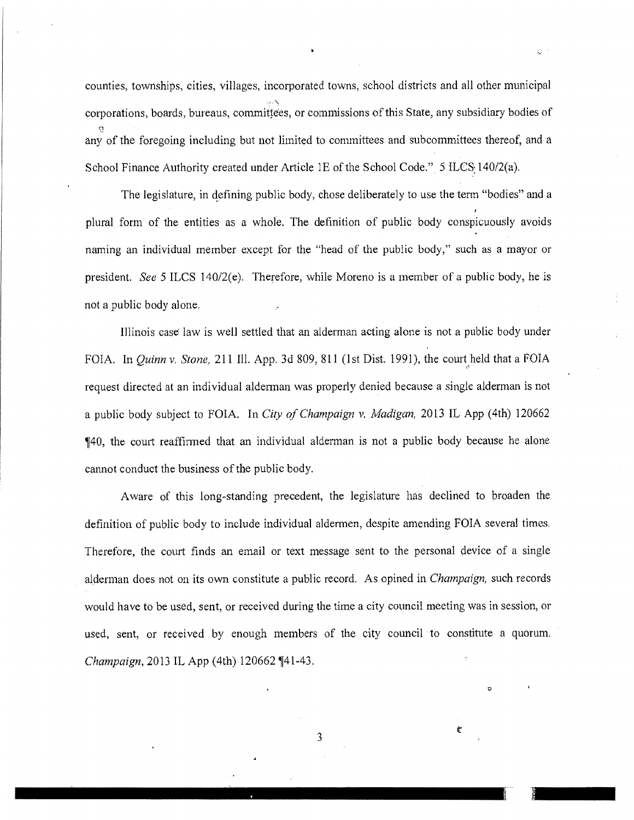counties, townships, cities, villages, incorporated towns, school districts and all other municipal corporations, boards, bureaus, committees, or commissions of this State, any subsidiary bodies of any of the foregoing including but not limited to committees and subcommittees thereof, and a School Finance Authority created under Article 1E of the School Code."  $5$  ILCS  $140/2$ (a).

The legislature, in defining public body, chose deliberately to use the term "bodies" and a plural form of the entities as a whole. The definition of public body conspicuously avoids naming an individual member except for the "head of the public body," such as a mayor or president. See 5 ILCS 140/2(e). Therefore, while Moreno is a member of a public body, he is not a public body alone.

Illinois case law is well settled that an alderman acting alone is not a public body under FOIA. In *Quinn v, Stone, 211 111.* App. 3d 809, 811 (1st Dist. 1991), the court held that a FOIA request directed at an individual alderman was properly denied because a single alderman is not a public body subject to FOIA. In *City of Champaign v. Madigan,* 2013 IL App (4th) 120662 ¶40, the court reaffirmed that an individual alderman is not a public body because he alone cannot conduct the business of the public body.

Aware of this long-standing precedent, the legislature has declined to broaden the definition of public body to include individual aldermen, despite amending FOIA several times. Therefore, the court finds an email or text message sent to the personal device of a single alderman does not on its own constitute a public record. As opined in *Champaign, such* records would have to be used, sent, or received during the time a city council meeting was in session, or used, sent, or received by enough members of the city council to constitute a quorum. *Champaign, 2013 IL App (4th) 120662* 141-43.

u

 $\epsilon$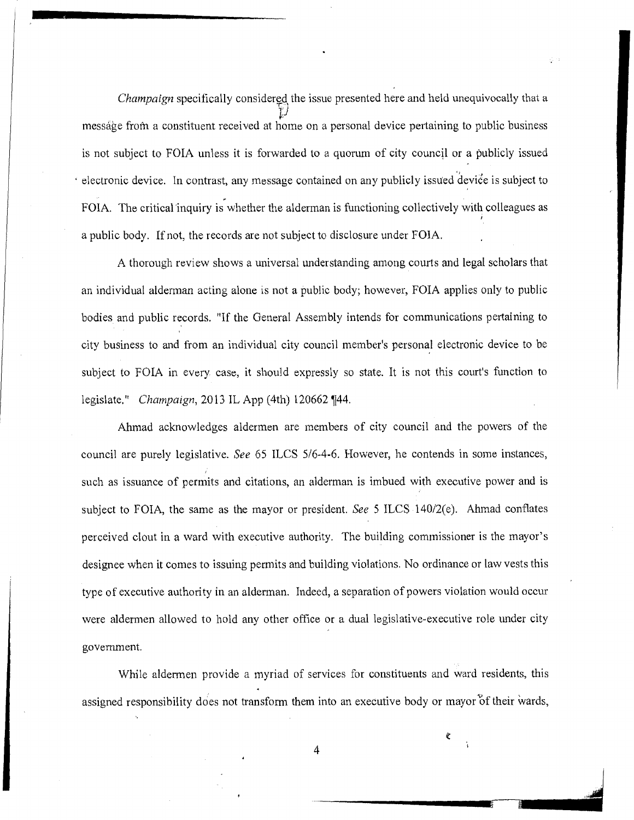*Champaign* specifically considered the issue presented here and held unequivocally that a *J;J*  message from a constituent received at home on a personal device pertaining to public business is not subject to FOIA unless it is forwarded to a quorum of city council or a publicly issued electronic device. In contrast, any message contained on any publicly issued device is subject to FOIA. The critical inquiry is whether the alderman is functioning collectively with colleagues as 1 a public body. If not, the records are not subject to disclosure under FOIA.

A thorough review shows a universal understanding among courts and legal scholars that an individual alderman acting alone is not a public body; however, FOIA applies only to public bodies and public records. "If the General Assembly intends for communications pertaining to city business to and from an individual city council member's personal electronic device to be subject to FOIA in every case, it should expressly so state. It is not this court's function to legislate." *Champaign*, 2013 IL App (4th) 120662 [44.

Ahmad acknowledges aldermen are members of city council and the powers of the council are purely legislative. *See 65 ILCS 5/6-4-6.* However, he contends in some instances, such as issuance of permits and citations, an alderman is imbued with executive power and is subject to FOIA, the same as the mayor or president. *See 5 ILCS* 14012(e). Ahmad conflates perceived clout in a ward with executive authority. The building commissioner is the mayor's designee when it comes to issuing permits and building violations. No ordinance or law vests this type of executive authority in an alderman. Indeed, a separation of powers violation would occur were aldermen allowed to hold any other office or a dual legislative-executive role under city government.

While aldermen provide a myriad of services for constituents and ward residents, this assigned responsibility does not transform them into an executive body or mayor of their wards,

4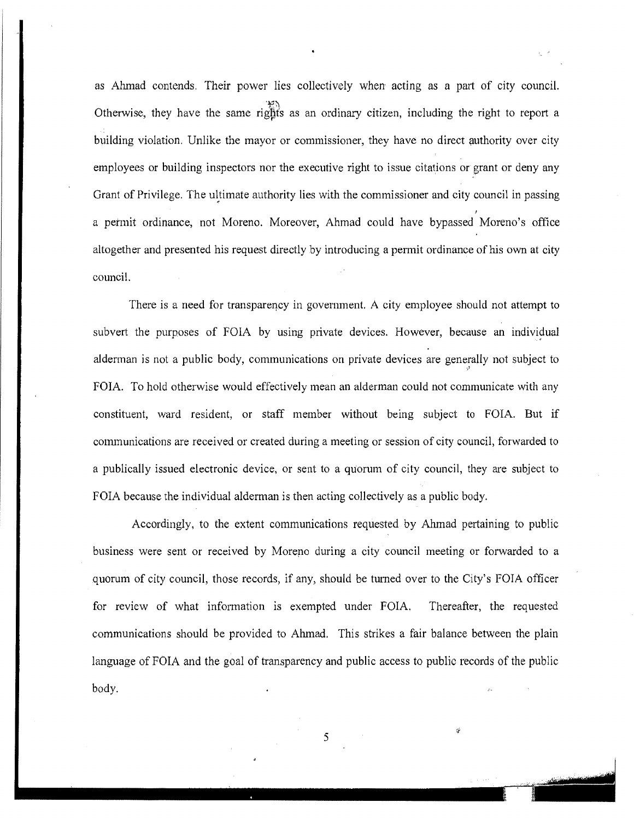as Ahmad contends. Their power lies collectively when acting as a part of city council. Otherwise, they have the same rights as an ordinary citizen, including the right to report a building violation. Unlike the mayor or commissioner, they have no direct authority over city employees or building inspectors nor the executive right to issue citations or grant or deny any Grant of Privilege. The ultimate authority lies with the commissioner and city council in passing a permit ordinance, not Moreno, Moreover, Ahmad could have bypassed Moreno's office altogether and presented his request directly by introducing a permit ordinance of his own at city council.

There is a need for transparency in government. A city employee should not attempt to subvert the purposes of FOIA by using private devices. However, because an individual alderman is not a public body, communications on private devices are generally not subject to FOIA. To hold otherwise would effectively mean an alderman could not communicate with any constituent, ward resident, or staff member without being subject to FOIA. But if communications are received or created during a meeting or session of city council, forwarded to a publically issued electronic device, or sent to a quorum of city council, they are subject to FOIA because the individual alderman is then acting collectively as a public body.

Accordingly, to the extent communications requested by Ahmad pertaining to public business were sent or received by Moreno during a city council meeting or forwarded to a quorum of city council, those records, if any, should be turned over to the City's FOIA officer for review of what information is exempted under FOIA. Thereafter, the requested communications should be provided to Ahmad. This strikes a fair balance between the plain language of FOIA and the goal of transparency and public access to public records of the public language of FOIA and the goal of trans<br>body.

*5* 

*;t*